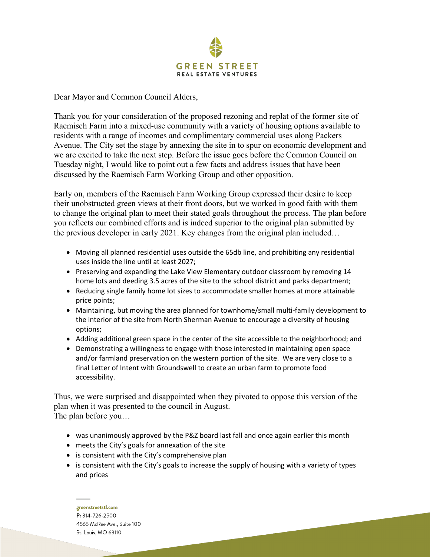

Dear Mayor and Common Council Alders,

Thank you for your consideration of the proposed rezoning and replat of the former site of Raemisch Farm into a mixed-use community with a variety of housing options available to residents with a range of incomes and complimentary commercial uses along Packers Avenue. The City set the stage by annexing the site in to spur on economic development and we are excited to take the next step. Before the issue goes before the Common Council on Tuesday night, I would like to point out a few facts and address issues that have been discussed by the Raemisch Farm Working Group and other opposition.

Early on, members of the Raemisch Farm Working Group expressed their desire to keep their unobstructed green views at their front doors, but we worked in good faith with them to change the original plan to meet their stated goals throughout the process. The plan before you reflects our combined efforts and is indeed superior to the original plan submitted by the previous developer in early 2021. Key changes from the original plan included…

- Moving all planned residential uses outside the 65db line, and prohibiting any residential uses inside the line until at least 2027;
- Preserving and expanding the Lake View Elementary outdoor classroom by removing 14 home lots and deeding 3.5 acres of the site to the school district and parks department;
- Reducing single family home lot sizes to accommodate smaller homes at more attainable price points;
- Maintaining, but moving the area planned for townhome/small multi-family development to the interior of the site from North Sherman Avenue to encourage a diversity of housing options;
- Adding additional green space in the center of the site accessible to the neighborhood; and
- Demonstrating a willingness to engage with those interested in maintaining open space and/or farmland preservation on the western portion of the site. We are very close to a final Letter of Intent with Groundswell to create an urban farm to promote food accessibility.

Thus, we were surprised and disappointed when they pivoted to oppose this version of the plan when it was presented to the council in August. The plan before you…

- was unanimously approved by the P&Z board last fall and once again earlier this month
- meets the City's goals for annexation of the site
- is consistent with the City's comprehensive plan
- is consistent with the City's goals to increase the supply of housing with a variety of types and prices

greenstreetstl.com P: 314-726-2500 4565 McRee Ave., Suite 100 St. Louis, MO 63110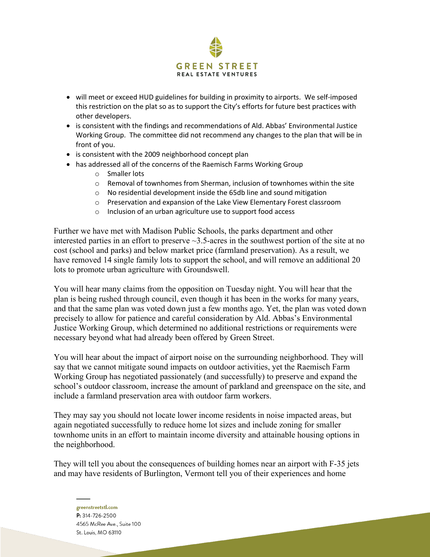

- will meet or exceed HUD guidelines for building in proximity to airports. We self-imposed this restriction on the plat so as to support the City's efforts for future best practices with other developers.
- is consistent with the findings and recommendations of Ald. Abbas' Environmental Justice Working Group. The committee did not recommend any changes to the plan that will be in front of you.
- is consistent with the 2009 neighborhood concept plan
- has addressed all of the concerns of the Raemisch Farms Working Group
	- o Smaller lots
	- $\circ$  Removal of townhomes from Sherman, inclusion of townhomes within the site
	- o No residential development inside the 65db line and sound mitigation
	- o Preservation and expansion of the Lake View Elementary Forest classroom
	- o Inclusion of an urban agriculture use to support food access

Further we have met with Madison Public Schools, the parks department and other interested parties in an effort to preserve  $\sim$ 3.5-acres in the southwest portion of the site at no cost (school and parks) and below market price (farmland preservation). As a result, we have removed 14 single family lots to support the school, and will remove an additional 20 lots to promote urban agriculture with Groundswell.

You will hear many claims from the opposition on Tuesday night. You will hear that the plan is being rushed through council, even though it has been in the works for many years, and that the same plan was voted down just a few months ago. Yet, the plan was voted down precisely to allow for patience and careful consideration by Ald. Abbas's Environmental Justice Working Group, which determined no additional restrictions or requirements were necessary beyond what had already been offered by Green Street.

You will hear about the impact of airport noise on the surrounding neighborhood. They will say that we cannot mitigate sound impacts on outdoor activities, yet the Raemisch Farm Working Group has negotiated passionately (and successfully) to preserve and expand the school's outdoor classroom, increase the amount of parkland and greenspace on the site, and include a farmland preservation area with outdoor farm workers.

They may say you should not locate lower income residents in noise impacted areas, but again negotiated successfully to reduce home lot sizes and include zoning for smaller townhome units in an effort to maintain income diversity and attainable housing options in the neighborhood.

They will tell you about the consequences of building homes near an airport with F-35 jets and may have residents of Burlington, Vermont tell you of their experiences and home

greenstreetstl.com P: 314-726-2500 4565 McRee Ave., Suite 100 St. Louis, MO 63110